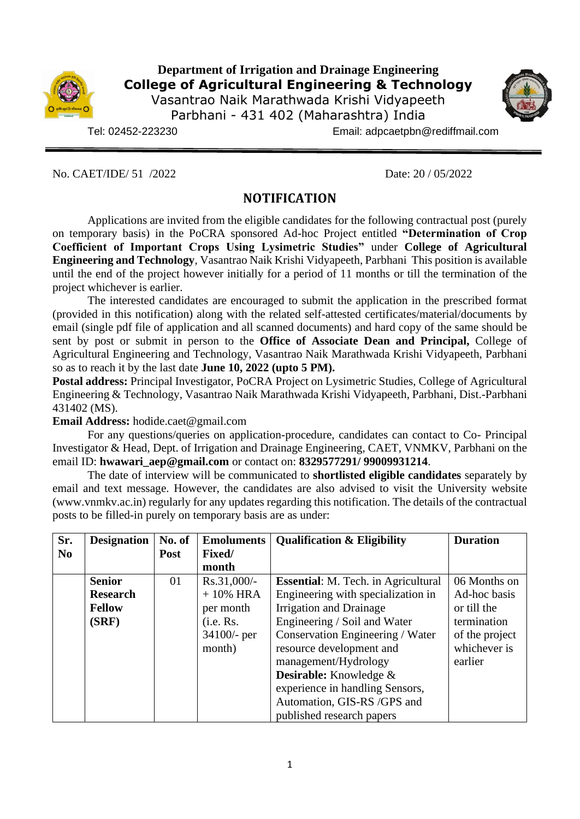

## **Department of Irrigation and Drainage Engineering College of Agricultural Engineering & Technology**

Vasantrao Naik Marathwada Krishi Vidyapeeth Parbhani - 431 402 (Maharashtra) India

Tel: 02452-223230 Email: adpcaetpbn@rediffmail.com

No. CAET/IDE/ 51 /2022 Date: 20 / 05/2022

# **NOTIFICATION**

Applications are invited from the eligible candidates for the following contractual post (purely on temporary basis) in the PoCRA sponsored Ad-hoc Project entitled **"Determination of Crop Coefficient of Important Crops Using Lysimetric Studies"** under **College of Agricultural Engineering and Technology**, Vasantrao Naik Krishi Vidyapeeth, Parbhani This position is available until the end of the project however initially for a period of 11 months or till the termination of the project whichever is earlier.

The interested candidates are encouraged to submit the application in the prescribed format (provided in this notification) along with the related self-attested certificates/material/documents by email (single pdf file of application and all scanned documents) and hard copy of the same should be sent by post or submit in person to the **Office of Associate Dean and Principal,** College of Agricultural Engineering and Technology, Vasantrao Naik Marathwada Krishi Vidyapeeth, Parbhani so as to reach it by the last date **June 10, 2022** (upto 5 PM).

**Postal address:** Principal Investigator, PoCRA Project on Lysimetric Studies, College of Agricultural Engineering & Technology, Vasantrao Naik Marathwada Krishi Vidyapeeth, Parbhani, Dist.-Parbhani 431402 (MS).

**Email Address:** hodide.caet@gmail.com

For any questions/queries on application-procedure, candidates can contact to Co- Principal Investigator & Head, Dept. of Irrigation and Drainage Engineering, CAET, VNMKV, Parbhani on the email ID: **[hwawari\\_aep@gmail.com](mailto:hwawari_aep@gmail.com)** or contact on: **8329577291/ 99009931214**.

The date of interview will be communicated to **shortlisted eligible candidates** separately by email and text message. However, the candidates are also advised to visit the University website [\(www.vnmkv.ac.in\)](http://www.vnmkv.ac.in/) regularly for any updates regarding this notification. The details of the contractual posts to be filled-in purely on temporary basis are as under:

| Sr.            | <b>Designation</b> | No. of                | <b>Emoluments</b> | <b>Qualification &amp; Eligibility</b>     | <b>Duration</b> |  |  |
|----------------|--------------------|-----------------------|-------------------|--------------------------------------------|-----------------|--|--|
| N <sub>0</sub> |                    | Fixed/<br><b>Post</b> |                   |                                            |                 |  |  |
|                |                    |                       | month             |                                            |                 |  |  |
|                | <b>Senior</b>      | 01                    | Rs.31,000/-       | <b>Essential:</b> M. Tech. in Agricultural | 06 Months on    |  |  |
|                | <b>Research</b>    |                       | $+10\%$ HRA       | Engineering with specialization in         | Ad-hoc basis    |  |  |
|                | <b>Fellow</b>      |                       | per month         | Irrigation and Drainage                    | or till the     |  |  |
|                | (SRF)              |                       | (i.e. Rs.         | Engineering / Soil and Water               | termination     |  |  |
|                |                    |                       | 34100/- per       | Conservation Engineering / Water           | of the project  |  |  |
|                |                    |                       | month)            | resource development and                   | whichever is    |  |  |
|                |                    |                       |                   | management/Hydrology                       | earlier         |  |  |
|                |                    |                       |                   | Desirable: Knowledge &                     |                 |  |  |
|                |                    |                       |                   | experience in handling Sensors,            |                 |  |  |
|                |                    |                       |                   | Automation, GIS-RS /GPS and                |                 |  |  |
|                |                    |                       |                   | published research papers                  |                 |  |  |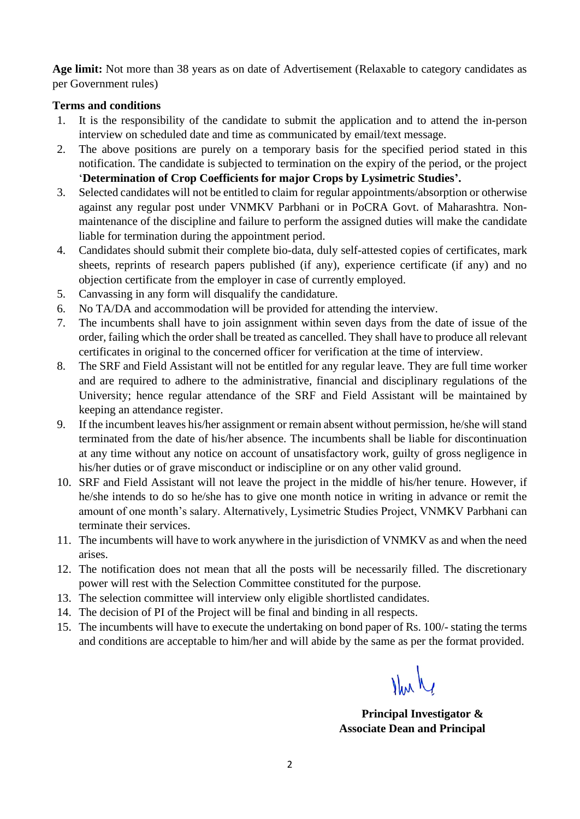**Age limit:** Not more than 38 years as on date of Advertisement (Relaxable to category candidates as per Government rules)

#### **Terms and conditions**

- 1. It is the responsibility of the candidate to submit the application and to attend the in-person interview on scheduled date and time as communicated by email/text message.
- 2. The above positions are purely on a temporary basis for the specified period stated in this notification. The candidate is subjected to termination on the expiry of the period, or the project '**Determination of Crop Coefficients for major Crops by Lysimetric Studies'.**
- 3. Selected candidates will not be entitled to claim for regular appointments/absorption or otherwise against any regular post under VNMKV Parbhani or in PoCRA Govt. of Maharashtra. Nonmaintenance of the discipline and failure to perform the assigned duties will make the candidate liable for termination during the appointment period.
- 4. Candidates should submit their complete bio-data, duly self-attested copies of certificates, mark sheets, reprints of research papers published (if any), experience certificate (if any) and no objection certificate from the employer in case of currently employed.
- 5. Canvassing in any form will disqualify the candidature.
- 6. No TA/DA and accommodation will be provided for attending the interview.
- 7. The incumbents shall have to join assignment within seven days from the date of issue of the order, failing which the order shall be treated as cancelled. They shall have to produce all relevant certificates in original to the concerned officer for verification at the time of interview.
- 8. The SRF and Field Assistant will not be entitled for any regular leave. They are full time worker and are required to adhere to the administrative, financial and disciplinary regulations of the University; hence regular attendance of the SRF and Field Assistant will be maintained by keeping an attendance register.
- 9. If the incumbent leaves his/her assignment or remain absent without permission, he/she will stand terminated from the date of his/her absence. The incumbents shall be liable for discontinuation at any time without any notice on account of unsatisfactory work, guilty of gross negligence in his/her duties or of grave misconduct or indiscipline or on any other valid ground.
- 10. SRF and Field Assistant will not leave the project in the middle of his/her tenure. However, if he/she intends to do so he/she has to give one month notice in writing in advance or remit the amount of one month's salary. Alternatively, Lysimetric Studies Project, VNMKV Parbhani can terminate their services.
- 11. The incumbents will have to work anywhere in the jurisdiction of VNMKV as and when the need arises.
- 12. The notification does not mean that all the posts will be necessarily filled. The discretionary power will rest with the Selection Committee constituted for the purpose.
- 13. The selection committee will interview only eligible shortlisted candidates.
- 14. The decision of PI of the Project will be final and binding in all respects.
- 15. The incumbents will have to execute the undertaking on bond paper of Rs. 100/- stating the terms and conditions are acceptable to him/her and will abide by the same as per the format provided.

Nul

 **Principal Investigator & Associate Dean and Principal**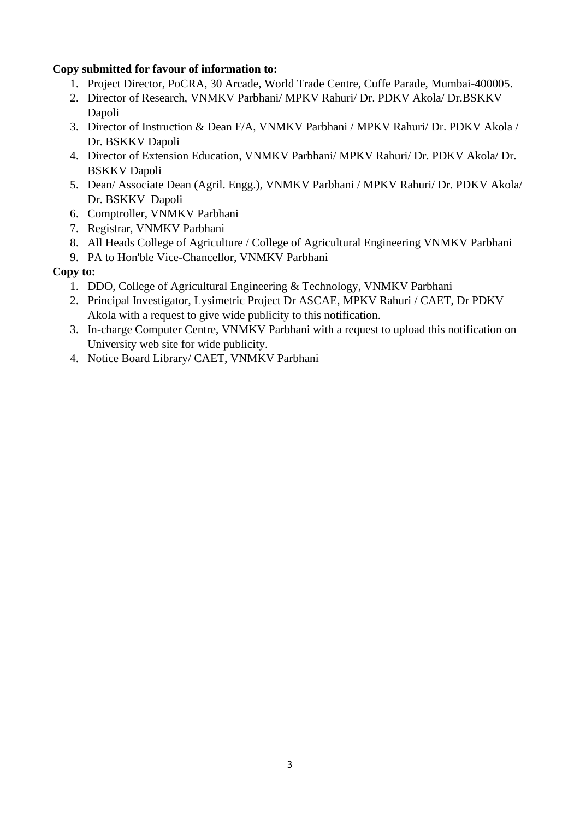### **Copy submitted for favour of information to:**

- 1. Project Director, PoCRA, 30 Arcade, World Trade Centre, Cuffe Parade, Mumbai-400005.
- 2. Director of Research, VNMKV Parbhani/ MPKV Rahuri/ Dr. PDKV Akola/ Dr.BSKKV Dapoli
- 3. Director of Instruction & Dean F/A, VNMKV Parbhani / MPKV Rahuri/ Dr. PDKV Akola / Dr. BSKKV Dapoli
- 4. Director of Extension Education, VNMKV Parbhani/ MPKV Rahuri/ Dr. PDKV Akola/ Dr. BSKKV Dapoli
- 5. Dean/ Associate Dean (Agril. Engg.), VNMKV Parbhani / MPKV Rahuri/ Dr. PDKV Akola/ Dr. BSKKV Dapoli
- 6. Comptroller, VNMKV Parbhani
- 7. Registrar, VNMKV Parbhani
- 8. All Heads College of Agriculture / College of Agricultural Engineering VNMKV Parbhani
- 9. PA to Hon'ble Vice-Chancellor, VNMKV Parbhani

### **Copy to:**

- 1. DDO, College of Agricultural Engineering & Technology, VNMKV Parbhani
- 2. Principal Investigator, Lysimetric Project Dr ASCAE, MPKV Rahuri / CAET, Dr PDKV Akola with a request to give wide publicity to this notification.
- 3. In-charge Computer Centre, VNMKV Parbhani with a request to upload this notification on University web site for wide publicity.
- 4. Notice Board Library/ CAET, VNMKV Parbhani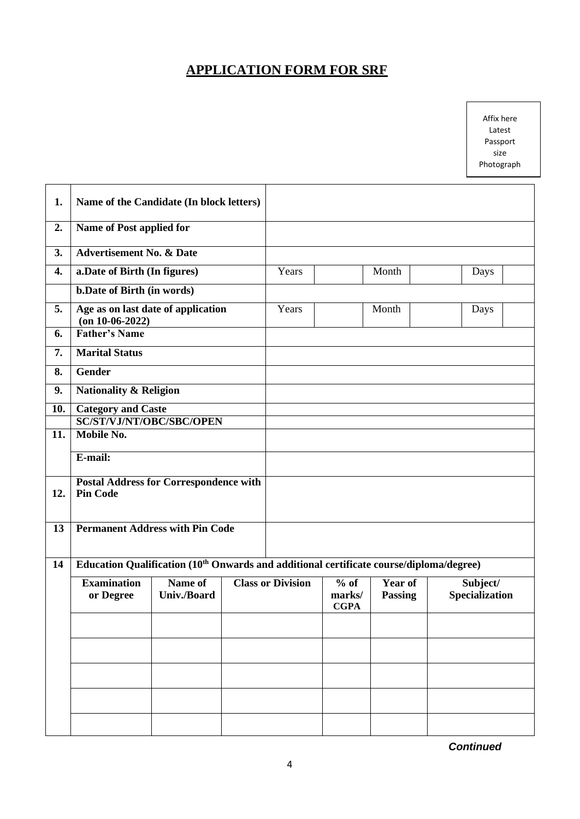# **APPLICATION FORM FOR SRF**

Affix here Latest Passport size Photograph

| 1.  | Name of the Candidate (In block letters)                                                            |                               |  |                          |                                 |                                  |                                   |  |
|-----|-----------------------------------------------------------------------------------------------------|-------------------------------|--|--------------------------|---------------------------------|----------------------------------|-----------------------------------|--|
| 2.  | Name of Post applied for                                                                            |                               |  |                          |                                 |                                  |                                   |  |
| 3.  | <b>Advertisement No. &amp; Date</b>                                                                 |                               |  |                          |                                 |                                  |                                   |  |
| 4.  | a. Date of Birth (In figures)                                                                       |                               |  | Years                    |                                 | Month                            | Days                              |  |
|     | <b>b.Date of Birth (in words)</b>                                                                   |                               |  |                          |                                 |                                  |                                   |  |
| 5.  | Age as on last date of application<br>$($ on 10-06-2022)                                            |                               |  | Years                    |                                 | Month                            | Days                              |  |
| 6.  | <b>Father's Name</b>                                                                                |                               |  |                          |                                 |                                  |                                   |  |
| 7.  | <b>Marital Status</b>                                                                               |                               |  |                          |                                 |                                  |                                   |  |
| 8.  | Gender                                                                                              |                               |  |                          |                                 |                                  |                                   |  |
| 9.  | <b>Nationality &amp; Religion</b>                                                                   |                               |  |                          |                                 |                                  |                                   |  |
| 10. | <b>Category and Caste</b>                                                                           |                               |  |                          |                                 |                                  |                                   |  |
|     | SC/ST/VJ/NT/OBC/SBC/OPEN                                                                            |                               |  |                          |                                 |                                  |                                   |  |
| 11. | <b>Mobile No.</b>                                                                                   |                               |  |                          |                                 |                                  |                                   |  |
|     | E-mail:                                                                                             |                               |  |                          |                                 |                                  |                                   |  |
| 12. | <b>Postal Address for Correspondence with</b><br><b>Pin Code</b>                                    |                               |  |                          |                                 |                                  |                                   |  |
| 13  | <b>Permanent Address with Pin Code</b>                                                              |                               |  |                          |                                 |                                  |                                   |  |
| 14  | Education Qualification (10 <sup>th</sup> Onwards and additional certificate course/diploma/degree) |                               |  |                          |                                 |                                  |                                   |  |
|     | <b>Examination</b><br>or Degree                                                                     | Name of<br><b>Univ./Board</b> |  | <b>Class or Division</b> | $%$ of<br>marks/<br><b>CGPA</b> | <b>Year of</b><br><b>Passing</b> | Subject/<br><b>Specialization</b> |  |
|     |                                                                                                     |                               |  |                          |                                 |                                  |                                   |  |
|     |                                                                                                     |                               |  |                          |                                 |                                  |                                   |  |
|     |                                                                                                     |                               |  |                          |                                 |                                  |                                   |  |
|     |                                                                                                     |                               |  |                          |                                 |                                  |                                   |  |
|     |                                                                                                     |                               |  |                          |                                 |                                  |                                   |  |
|     |                                                                                                     |                               |  |                          |                                 |                                  |                                   |  |
|     |                                                                                                     |                               |  |                          |                                 |                                  |                                   |  |

*Continued*